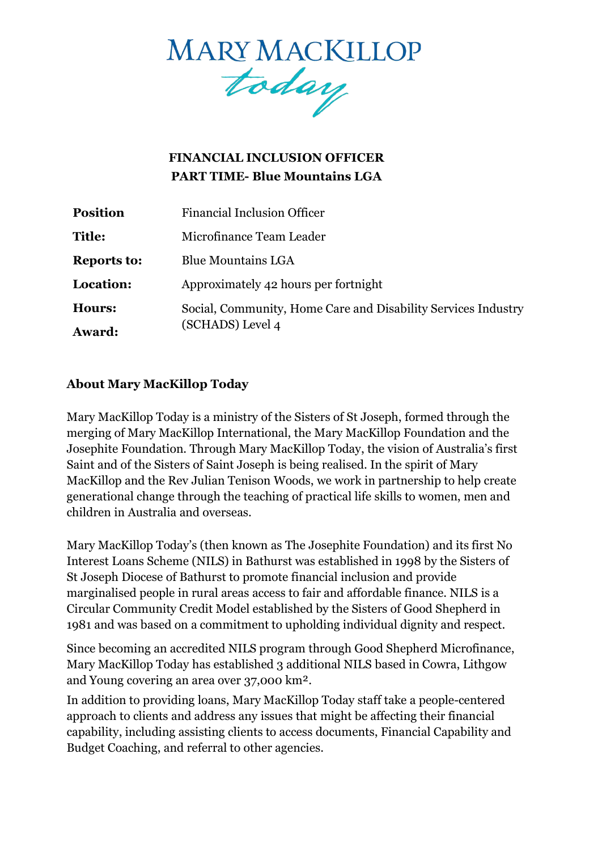

# **FINANCIAL INCLUSION OFFICER PART TIME- Blue Mountains LGA**

| <b>Position</b>    | <b>Financial Inclusion Officer</b>                            |
|--------------------|---------------------------------------------------------------|
| <b>Title:</b>      | Microfinance Team Leader                                      |
| <b>Reports to:</b> | <b>Blue Mountains LGA</b>                                     |
| Location:          | Approximately 42 hours per fortnight                          |
| Hours:             | Social, Community, Home Care and Disability Services Industry |
| <b>Award:</b>      | (SCHADS) Level 4                                              |

#### **About Mary MacKillop Today**

Mary MacKillop Today is a ministry of the Sisters of St Joseph, formed through the merging of Mary MacKillop International, the Mary MacKillop Foundation and the Josephite Foundation. Through Mary MacKillop Today, the vision of Australia's first Saint and of the Sisters of Saint Joseph is being realised. In the spirit of [Mary](https://www.marymackilloptoday.org.au/who-we-are/mary-mackillops-story/)  [MacKillop a](https://www.marymackilloptoday.org.au/who-we-are/mary-mackillops-story/)nd the Rev Julian Tenison Woods, we work in partnership to help create generational change through the teaching of practical life skills to women, men and children in Australia and overseas.

Mary MacKillop Today's (then known as The Josephite Foundation) and its first No Interest Loans Scheme (NILS) in Bathurst was established in 1998 by the Sisters of St Joseph Diocese of Bathurst to promote financial inclusion and provide marginalised people in rural areas access to fair and affordable finance. NILS is a Circular Community Credit Model established by the Sisters of Good Shepherd in 1981 and was based on a commitment to upholding individual dignity and respect.

Since becoming an accredited NILS program through Good Shepherd Microfinance, Mary MacKillop Today has established 3 additional NILS based in Cowra, Lithgow and Young covering an area over 37,000 km².

In addition to providing loans, Mary MacKillop Today staff take a people-centered approach to clients and address any issues that might be affecting their financial capability, including assisting clients to access documents, Financial Capability and Budget Coaching, and referral to other agencies.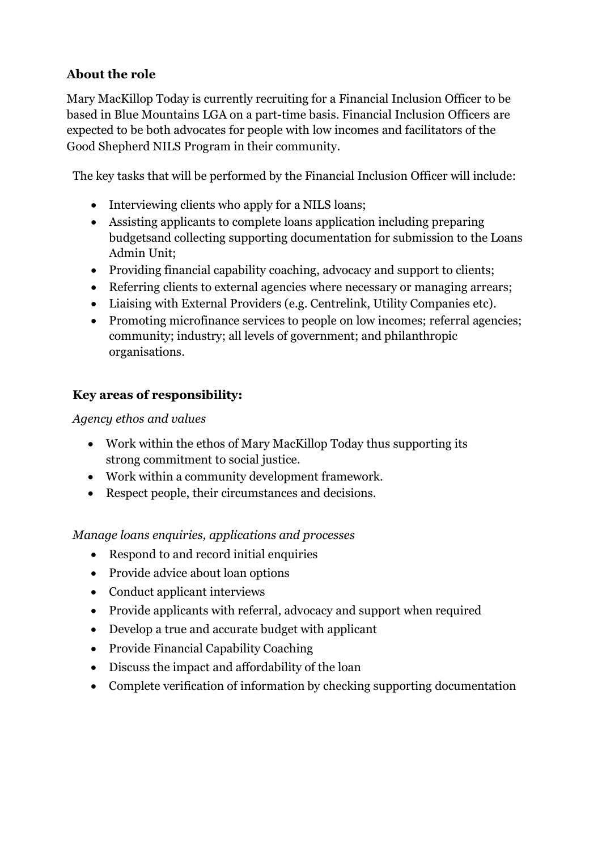## **About the role**

Mary MacKillop Today is currently recruiting for a Financial Inclusion Officer to be based in Blue Mountains LGA on a part-time basis. Financial Inclusion Officers are expected to be both advocates for people with low incomes and facilitators of the Good Shepherd NILS Program in their community.

The key tasks that will be performed by the Financial Inclusion Officer will include:

- Interviewing clients who apply for a NILS loans;
- Assisting applicants to complete loans application including preparing budgetsand collecting supporting documentation for submission to the Loans Admin Unit;
- Providing financial capability coaching, advocacy and support to clients;
- Referring clients to external agencies where necessary or managing arrears;
- Liaising with External Providers (e.g. Centrelink, Utility Companies etc).
- Promoting microfinance services to people on low incomes; referral agencies; community; industry; all levels of government; and philanthropic organisations.

## **Key areas of responsibility:**

#### *Agency ethos and values*

- Work within the ethos of Mary MacKillop Today thus supporting its strong commitment to social justice.
- Work within a community development framework.
- Respect people, their circumstances and decisions.

*Manage loans enquiries, applications and processes*

- Respond to and record initial enquiries
- Provide advice about loan options
- Conduct applicant interviews
- Provide applicants with referral, advocacy and support when required
- Develop a true and accurate budget with applicant
- Provide Financial Capability Coaching
- Discuss the impact and affordability of the loan
- Complete verification of information by checking supporting documentation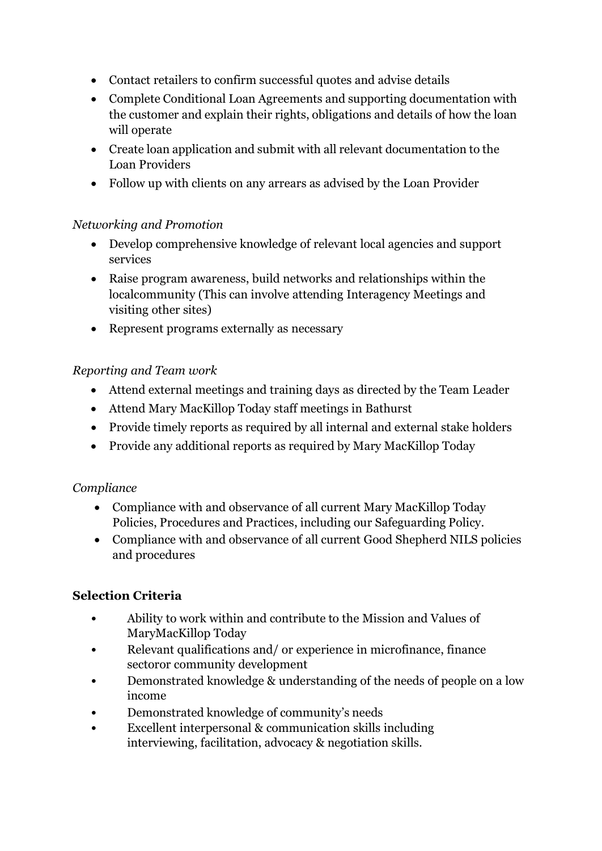- Contact retailers to confirm successful quotes and advise details
- Complete Conditional Loan Agreements and supporting documentation with the customer and explain their rights, obligations and details of how the loan will operate
- Create loan application and submit with all relevant documentation to the Loan Providers
- Follow up with clients on any arrears as advised by the Loan Provider

#### *Networking and Promotion*

- Develop comprehensive knowledge of relevant local agencies and support services
- Raise program awareness, build networks and relationships within the localcommunity (This can involve attending Interagency Meetings and visiting other sites)
- Represent programs externally as necessary

## *Reporting and Team work*

- Attend external meetings and training days as directed by the Team Leader
- Attend Mary MacKillop Today staff meetings in Bathurst
- Provide timely reports as required by all internal and external stake holders
- Provide any additional reports as required by Mary MacKillop Today

#### *Compliance*

- Compliance with and observance of all current Mary MacKillop Today Policies, Procedures and Practices, including our Safeguarding Policy.
- Compliance with and observance of all current Good Shepherd NILS policies and procedures

# **Selection Criteria**

- Ability to work within and contribute to the Mission and Values of MaryMacKillop Today
- Relevant qualifications and/ or experience in microfinance, finance sectoror community development
- Demonstrated knowledge & understanding of the needs of people on a low income
- Demonstrated knowledge of community's needs
- Excellent interpersonal & communication skills including interviewing, facilitation, advocacy & negotiation skills.